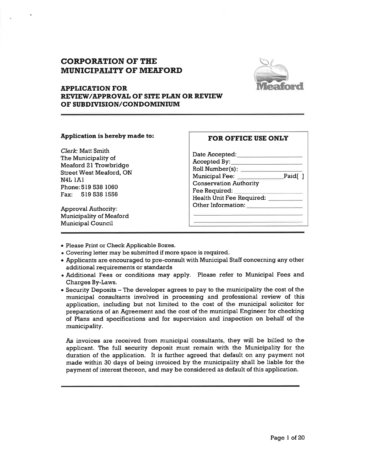# CORPORATION OF THE MUNICIPALITY OF MEAFORD



### **APPLICATION FOR** REVIEWAPPROVAL OF SITE PLAN OR REVIEW OF SUBDIVISION/CONDOMINIUM

#### Application is hereby made to:

Clerk: Matt Smith The Municipality of Meaford 2l Trowbridge Street West Meaford, ON N4L IAI Phone:519 538 1060 Fax: 519 538 <sup>1556</sup>

Approval Authority: Municipality of Meaford Municipal Council

# FOR OFFICE USE ONLY

-Paid[

Date Accepted: Accepted By: Roll Number(s): Municipal Fee: \_\_\_\_\_\_\_\_\_\_\_\_\_\_\_\_\_\_\_\_Paid[ ] Conservation Authority Fee Required: Health Unit Fee Required: Other Information:

- o Please Print or Check Applicable Boxes.
- Covering letter may be submitted if more space is required.
- . Applicants are encouraged to pre-consult with Municipal Staff concerning any other additional requirements or standards
- . Additional Fees or conditions may apply. Please refer to Municipal Fees and Charges By-Laws.
- $\bullet$  Security Deposits  $-$  The developer agrees to pay to the municipality the cost of the municipal consultants involved in processing and professional review of this application, including but not limited to the cost of the municipal solicitor for preparations of an Agreement and the cost of the municipal Engineer for checking of Plans and specifications and for supervision and inspection on behalf of the municipality.

As invoices are received from municipal consultants, they will be billed to the applicant. The full security deposit must remain with the Municipality for the duration of the application. It is further agreed that default on any payment not made within 30 days of being invoiced by the municipality shall be liable for the payment of interest thereon, and may be considered as default of this application.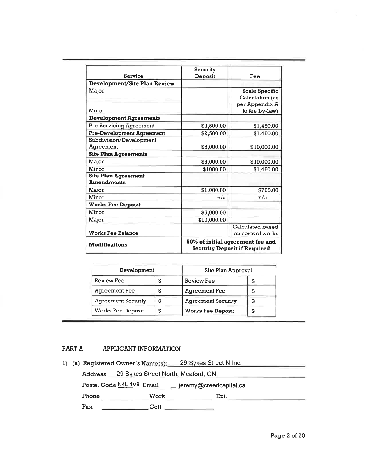|                                     | Security                                                                |                       |  |
|-------------------------------------|-------------------------------------------------------------------------|-----------------------|--|
| Service                             | Deposit                                                                 | Fee                   |  |
| <b>Development/Site Plan Review</b> |                                                                         |                       |  |
| Major                               |                                                                         | <b>Scale Specific</b> |  |
|                                     |                                                                         | Calculation (as       |  |
|                                     |                                                                         | per Appendix A        |  |
| Minor                               |                                                                         | to fee by-law)        |  |
| <b>Development Agreements</b>       |                                                                         |                       |  |
| <b>Pre-Servicing Agreement</b>      | \$2,500.00                                                              | \$1,450.00            |  |
| <b>Pre-Development Agreement</b>    | \$2,500.00                                                              | \$1,450.00            |  |
| Subdivision/Development             |                                                                         |                       |  |
| Agreement                           | \$5,000.00                                                              | \$10,000.00           |  |
| <b>Site Plan Agreements</b>         |                                                                         |                       |  |
| Major                               | \$5,000.00                                                              | \$10,000.00           |  |
| Minor                               | \$1000.00                                                               | \$1,450.00            |  |
| <b>Site Plan Agreement</b>          |                                                                         |                       |  |
| <b>Amendments</b>                   |                                                                         |                       |  |
| Major                               | \$1,000.00                                                              | \$700.00              |  |
| Minor                               | n/a                                                                     | n/a                   |  |
| <b>Works Fee Deposit</b>            |                                                                         |                       |  |
| Minor                               | \$5,000.00                                                              |                       |  |
| Major                               | \$10,000.00                                                             |                       |  |
|                                     |                                                                         | Calculated based      |  |
| <b>Works Fee Balance</b>            | on costs of works                                                       |                       |  |
| <b>Modifications</b>                | 50% of initial agreement fee and<br><b>Security Deposit if Required</b> |                       |  |

| Development               |   | Site Plan Approval        |    |  |
|---------------------------|---|---------------------------|----|--|
| Review Fee                | S | Review Fee<br>\$          |    |  |
| <b>Agreement Fee</b>      | S | <b>Agreement Fee</b>      | \$ |  |
| <b>Agreement Security</b> | S | <b>Agreement Security</b> | S  |  |
| <b>Works Fee Deposit</b>  | S | <b>Works Fee Deposit</b>  | S  |  |

### PART A APPLICANT INFORMATION

l) (a) Registered Owner's Name(s): 29 Sykes Street N Inc. Address 29 Svkes Street North. Meaford. ON Postal Code N4L 1V9 Email \_\_\_ jeremy@creedcapital.ca\_\_\_ Phone Work Ext. Fax Cell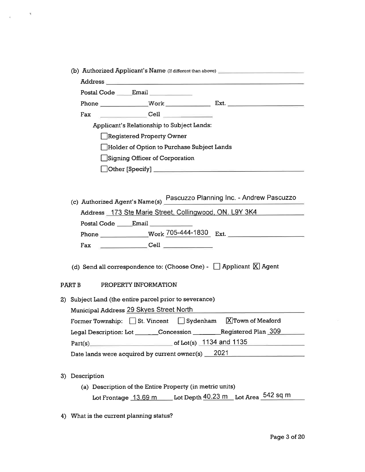|                | Postal Code Email _________                                                                                                                                                                                                                                                                                                                              |
|----------------|----------------------------------------------------------------------------------------------------------------------------------------------------------------------------------------------------------------------------------------------------------------------------------------------------------------------------------------------------------|
|                |                                                                                                                                                                                                                                                                                                                                                          |
| Fax            | $\begin{picture}(18,17) \put(0,0){\line(1,0){10}} \put(1,0){\line(1,0){10}} \put(1,0){\line(1,0){10}} \put(1,0){\line(1,0){10}} \put(1,0){\line(1,0){10}} \put(1,0){\line(1,0){10}} \put(1,0){\line(1,0){10}} \put(1,0){\line(1,0){10}} \put(1,0){\line(1,0){10}} \put(1,0){\line(1,0){10}} \put(1,0){\line(1,0){10}} \put(1,0){\line(1,0){10}} \put(1,$ |
|                | Applicant's Relationship to Subject Lands:                                                                                                                                                                                                                                                                                                               |
|                | Registered Property Owner                                                                                                                                                                                                                                                                                                                                |
|                | Holder of Option to Purchase Subject Lands                                                                                                                                                                                                                                                                                                               |
|                | Signing Officer of Corporation                                                                                                                                                                                                                                                                                                                           |
|                |                                                                                                                                                                                                                                                                                                                                                          |
|                |                                                                                                                                                                                                                                                                                                                                                          |
|                |                                                                                                                                                                                                                                                                                                                                                          |
|                | (c) Authorized Agent's Name(s) Pascuzzo Planning Inc. - Andrew Pascuzzo                                                                                                                                                                                                                                                                                  |
|                | Address 173 Ste Marie Street, Collingwood, ON. L9Y 3K4                                                                                                                                                                                                                                                                                                   |
|                |                                                                                                                                                                                                                                                                                                                                                          |
|                |                                                                                                                                                                                                                                                                                                                                                          |
| Fax            | $\underbrace{\hspace{2.5cm}}\hspace{2.5cm}\text{Cell}\hspace{2.5cm}\underline{\hspace{2.5cm}}$                                                                                                                                                                                                                                                           |
|                |                                                                                                                                                                                                                                                                                                                                                          |
|                |                                                                                                                                                                                                                                                                                                                                                          |
|                | (d) Send all correspondence to: (Choose One) - $\Box$ Applicant $\Box$ Agent                                                                                                                                                                                                                                                                             |
|                |                                                                                                                                                                                                                                                                                                                                                          |
| PART B         | PROPERTY INFORMATION                                                                                                                                                                                                                                                                                                                                     |
|                | 2) Subject Land (the entire parcel prior to severance)                                                                                                                                                                                                                                                                                                   |
|                | Municipal Address 29 Skyes Street North                                                                                                                                                                                                                                                                                                                  |
|                | Former Township: $\Box$ St. Vincent $\Box$ Sydenham $\Box$ Town of Meaford                                                                                                                                                                                                                                                                               |
|                |                                                                                                                                                                                                                                                                                                                                                          |
|                | Legal Description: Lot _______Concession _________Registered Plan 309                                                                                                                                                                                                                                                                                    |
|                | Part(s) entertainment of Lot(s) 1134 and 1135                                                                                                                                                                                                                                                                                                            |
|                | Date lands were acquired by current owner(s) 2021                                                                                                                                                                                                                                                                                                        |
|                |                                                                                                                                                                                                                                                                                                                                                          |
| 3) Description | (a) Description of the Entire Property (in metric units)                                                                                                                                                                                                                                                                                                 |

4) What is the current planning status?

 $\epsilon$  ,  $\epsilon$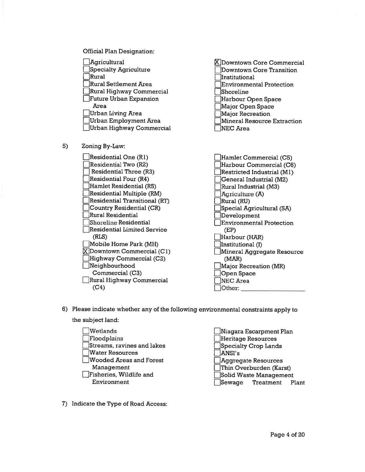



- 6) Please indicate whether any of the following environmental constraints apply to
	- the subject land:

s)

Wetlands Floodplains Streams, ravines and lakes lwater Resources lWooded Areas and Forest Management  $\Box$ Fisheries, Wildlife and Environment

f]Niagara Escarpment Plan lHeritage Resources lspecialty Crop Lands IANSI's lAggregate Resources Thin Overburden (Karst) Solid Waste Management Sewage Treatment Plant

7) Indicate the Type of Road Access: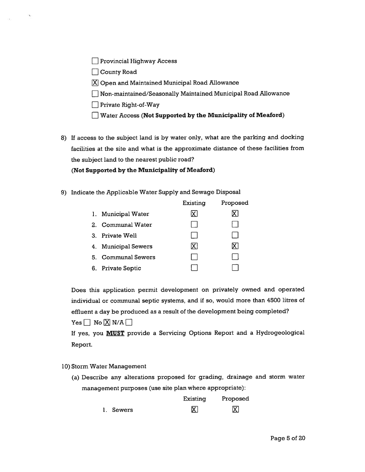| Provincial Highway Access |  |  |
|---------------------------|--|--|
|---------------------------|--|--|

 $\Box$  County Road

- $[X]$  Open and Maintained Municipal Road Allowance
- I Non-maintained/Seasonally Maintained Municipal Road Allowance
- $\Box$  Private Right-of-Way
- $\Box$  Water Access (Not Supported by the Municipality of Meaford)
- 8) If access to the subject land is by water only, what are the parking and docking facilities at the site and what is the approximate distance of these facilities from the subject land to the nearest public road?

# (Not Supported by the Municipality of Meaford)

9) Indicate the Applicable Water Supply and Sewage Disposal

|    |                       | Existing | Proposed |
|----|-----------------------|----------|----------|
|    | 1. Municipal Water    |          |          |
|    | 2. Communal Water     |          |          |
|    | 3. Private Well       |          |          |
|    | 4. Municipal Sewers   | ΧI       | IX I     |
|    | 5. Communal Sewers    |          |          |
| 6. | <b>Private Septic</b> |          |          |

Does this application permit development on privately owned and operated individual or communal septic systems, and if so, would more than 4500 litres of effluent a day be produced as a result of the development being completed?  $Yes \Box No \Box N/A \Box$ 

If yes, you MUST provide a Serwicing Options Report and a Hydrogeological Report.

l0) Storm Water Management

(a) Describe any alterations proposed for grading, drainage and storm water management purposes (use site plan where appropriate):

|           | Existing | Proposed |
|-----------|----------|----------|
| l. Sewers | 冈        | 冈        |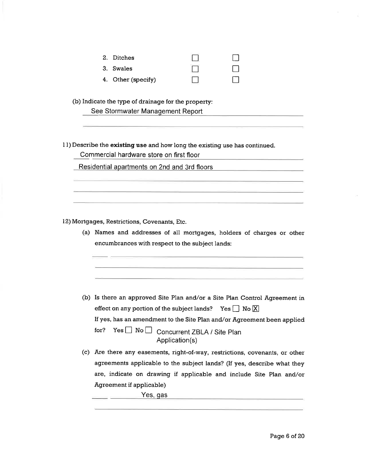| 2. Ditches         |  |
|--------------------|--|
| 3. Swales          |  |
| 4. Other (specify) |  |

(b) Indicate the type of drainage for the property:

|  | See Stormwater Management Report |
|--|----------------------------------|
|--|----------------------------------|

II) Describe the existing use and how long the existing use has continued.

Commercial hardware store on first floor

Residential apartments on 2nd and 3rd floors

l2) Mortgages, Restrictions, Covenants, Etc.

(a) Names and addresses of all mortgages, holders of charges or other encumbrances with respect to the subject lands:

- (b) Is there an approved Site Plan and/or a Site Plan Control Agreement in effect on any portion of the subject lands? Yes  $\Box$  No  $\Box$ If yes, has an amendment to the Site Plan and/or Agreement been applied for? Yes  $\Box$  No  $\Box$  Concurrent ZBLA / Site Plan Application(s)
- (c) Are there any easements, right-of-way, restrictions, covenants, or other agreements applicable to the subject lands? (If yes, describe what they are, indicate on drawing if applicable and include Site Plan and/or Agreement if applicable)

 $\overline{\phantom{a}}$  Yes, gas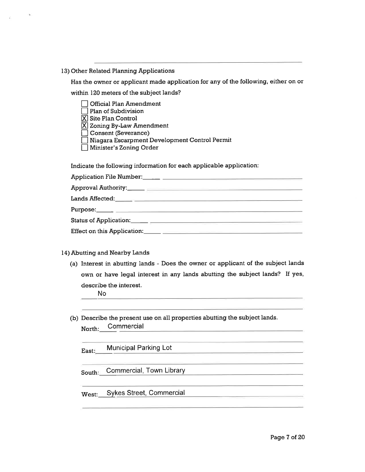l3) Other Related Planning Applications

Has the owner or applicant made application for any of the following, either on or within 120 meters of the subject lands?

| <b>Official Plan Amendment</b>                |
|-----------------------------------------------|
| Plan of Subdivision                           |
| $\vert$ Site Plan Control                     |
| $\chi$ Zoning By-Law Amendment                |
| Consent (Severance)                           |
| Niagara Escarpment Development Control Permit |
| Minister's Zoning Order                       |
|                                               |

Indicate the following information for each applicable application:

| Application File Number:_____ ______________ |  |
|----------------------------------------------|--|
|                                              |  |
|                                              |  |
|                                              |  |
|                                              |  |
|                                              |  |
|                                              |  |

### l4) Abutting and Nearby Lands

(a) Interest in abutting lands - Does the owner or applicant of the subject lands own or have legal interest in any lands abutting the subject lands? If yes, describe the interest.

No

(b) Describe the present use on all properties abutting the subject lands. North: Commercial

East: Municipal Parking Lot

South: Commercial, Town Library

West: SYkes Street, Commercial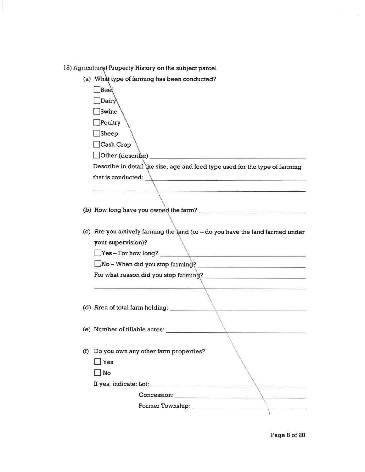15) Agricultural Property History on the subject parcel

(a) What type of farming has been conducted?

 $\Box$ Beet  $\Box$ Dairy  $\Box$ Swine !Poultry  $\Box$ Sheep lCash Crop  $\Box$  Other (describe) Describe in detail the size, age and feed type used for the type of farming that is conducted: (b) How long have you owned the farm? (c) Are you actively farming the land (or  $-$  do you have the land farmed under your supervision)?  $\Box$ Yes – For how long?  $\Box$ No - When did you stop farming? For what reason did you stop farming? (d) Area of total farm holding: (e) Number of tillable acres: (f) Do you own any other farm properties?  $\Box$  Yes  $\Box$  No If yes, indicate: Lot Concession: Former Township  $\overline{\phantom{a}}$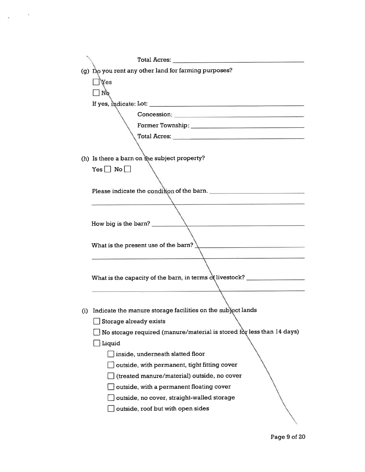| Total Acres: Total Acres:                                                                              |
|--------------------------------------------------------------------------------------------------------|
| (g) Do you rent any other land for farming purposes?                                                   |
| $\exists$ Yes                                                                                          |
| $N_Q$                                                                                                  |
|                                                                                                        |
| Concession:                                                                                            |
|                                                                                                        |
|                                                                                                        |
|                                                                                                        |
| (h) Is there a barn on the subject property?                                                           |
| $Yes \Box No \Box$                                                                                     |
|                                                                                                        |
| Please indicate the condition of the barn.                                                             |
|                                                                                                        |
|                                                                                                        |
| How big is the barn?                                                                                   |
|                                                                                                        |
| What is the present use of the barn? $\sum$                                                            |
|                                                                                                        |
|                                                                                                        |
| What is the capacity of the barn, in terms of livestock? _______________________                       |
|                                                                                                        |
| (i) Indicate the manure storage facilities on the subject lands                                        |
|                                                                                                        |
| $\Box$ Storage already exists<br>No storage required (manure/material is stored for less than 14 days) |
|                                                                                                        |
| Liquid                                                                                                 |
| inside, underneath slatted floor                                                                       |
| outside, with permanent, tight fitting cover                                                           |
| (treated manure/material) outside, no cover<br>outside, with a permanent floating cover                |
| outside, no cover, straight-walled storage                                                             |
| outside, roof but with open sides                                                                      |
|                                                                                                        |
|                                                                                                        |

 $\alpha$   $\sim$   $^{-3}$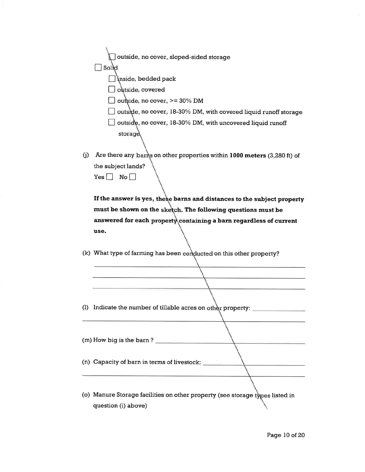outside, no cover, sloped-sided storage  $S$ ol $d$  $\Box$  inside, bedded pack  $\Box$  outside, covered  $\Box$  outside, no cover, >= 30% DM  $\Box$  outside, no cover, 18-30% DM, with covered liquid runoff storage  $\Box$  outside, no cover, 18-30% DM, with uncovered liquid runoff storage

(j) Are there any barms on other properties within  $1000$  meters (3,280 ft) of the subject lands?  $Yes \Box No \Box$ 

If the answer is yes, these barns and distances to the subject property must be shown on the sketch. The following questions must be answered for each property containing a barn regardless of current use.

(k) What type of farming has been conducted on this other property?

- (I) Indicate the number of tillable acres on other property:
- (m) How big is the barn ?
- (n) Capacity of barn in terms of livestock:
- (o) Manure Storage facilities on other property (see storage listed in question (i) above)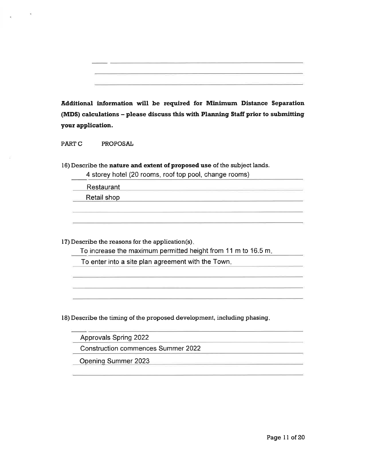Additional information will be required for Minimum Distance Separation (MDS) calculations - please discuss this with Planning Staff prior to submitting your application.

PARTC PROPOSAL

l6) Describe the nature and extent of proposed use of the subject lands.

4 storey hotel (20 rooms, roof top pool, change rooms)

Restaurant

-

Retail shop

l7) Describe the reasons for the application(s)

To increase the maximum permitted height from 11 m to 16.5 m

To enter into a site plan agreement with the Town

l8) Describe the timing of the proposed development, including phasing

Approvals Spring 2022

Construction commences Summer 2022

Opening Summer 2023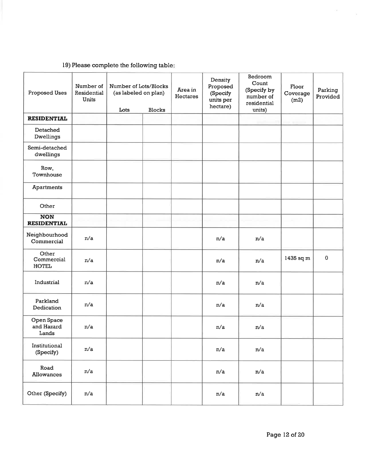# l9) Please complete the following table

| Proposed Uses                       | Number of<br>Residential<br>Units | Number of Lots/Blocks<br>(as labeled on plan)<br>Lots | <b>Blocks</b> | Area in<br>Hectares | Density<br>Proposed<br>(Specify<br>units per<br>hectare) | Bedroom<br>Count<br>(Specify by<br>number of<br>residential<br>units) | Floor<br>Coverage<br>(m2) | Parking<br>Provided |
|-------------------------------------|-----------------------------------|-------------------------------------------------------|---------------|---------------------|----------------------------------------------------------|-----------------------------------------------------------------------|---------------------------|---------------------|
| <b>RESIDENTIAL</b>                  |                                   |                                                       |               |                     |                                                          |                                                                       |                           |                     |
| Detached<br>Dwellings               |                                   |                                                       |               |                     |                                                          |                                                                       |                           |                     |
| Semi-detached<br>dwellings          |                                   |                                                       |               |                     |                                                          |                                                                       |                           |                     |
| Row,<br>Townhouse                   |                                   |                                                       |               |                     |                                                          |                                                                       |                           |                     |
| Apartments                          |                                   |                                                       |               |                     |                                                          |                                                                       |                           |                     |
| Other                               |                                   |                                                       |               |                     |                                                          |                                                                       |                           |                     |
| <b>NON</b><br><b>RESIDENTIAL</b>    |                                   |                                                       |               |                     |                                                          |                                                                       |                           |                     |
| Neighbourhood<br>Commercial         | n/a                               |                                                       |               |                     | n/a                                                      | n/a                                                                   |                           |                     |
| Other<br>Commercial<br><b>HOTEL</b> | n/a                               |                                                       |               |                     | n/a                                                      | n/a                                                                   | 1435 sq m                 | $\mathbf 0$         |
| Industrial                          | n/a                               |                                                       |               |                     | n/a                                                      | n/a                                                                   |                           |                     |
| Parkland<br>Dedication              | n/a                               |                                                       |               |                     | n/a                                                      | n/a                                                                   |                           |                     |
| Open Space<br>and Hazard<br>Lands   | n/a                               |                                                       |               |                     | n/a                                                      | n/a                                                                   |                           |                     |
| Institutional<br>(Specify)          | n/a                               |                                                       |               |                     | n/a                                                      | n/a                                                                   |                           |                     |
| Road<br>Allowances                  | n/a                               |                                                       |               |                     | n/a                                                      | $\mathtt{n}/\mathtt{a}$                                               |                           |                     |
| Other (Specify)                     | n/a                               |                                                       |               |                     | n/a                                                      | n/a                                                                   |                           |                     |

 $\langle$  m  $\rangle$ 

 $\sim$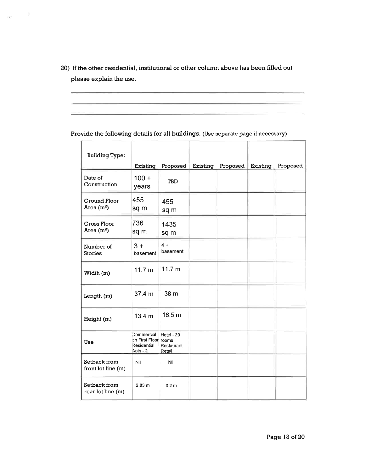20) If the other residential, institutional or other column above has been filled out please explain the use.

 $\sim$  10

 $\langle \Psi \rangle$ 

Provide the following details for all buildings. (Use separate page if necessary)

| <b>Building Type:</b>              |                                                            |                                             |          |          |          |          |
|------------------------------------|------------------------------------------------------------|---------------------------------------------|----------|----------|----------|----------|
|                                    | Existing                                                   | Proposed                                    | Existing | Proposed | Existing | Proposed |
| Date of<br>Construction            | $100 +$<br>years                                           | TBD                                         |          |          |          |          |
| Ground Floor<br>Area $(m^2)$       | 455<br>sq m                                                | 455<br>sq m                                 |          |          |          |          |
| <b>Gross Floor</b><br>Area $(m^2)$ | 736<br>sq m                                                | 1435<br>sq m                                |          |          |          |          |
| Number of<br><b>Stories</b>        | $3 +$<br>basement                                          | $4 +$<br>basement                           |          |          |          |          |
| Width (m)                          | 11.7 m                                                     | 11.7 m                                      |          |          |          |          |
| Length (m)                         | 37.4 m                                                     | 38 m                                        |          |          |          |          |
| Height (m)                         | 13.4 <sub>m</sub>                                          | 16.5 m                                      |          |          |          |          |
| Use                                | Commercial 1<br>on First Floorl<br>Residential<br>Apts - 2 | Hotel - 20<br>rooms<br>Restaurant<br>Retail |          |          |          |          |
| Setback from<br>front lot line (m) | Nil                                                        | Nil                                         |          |          |          |          |
| Setback from<br>rear lot line (m)  | 2.83 m                                                     | 0.2 <sub>m</sub>                            |          |          |          |          |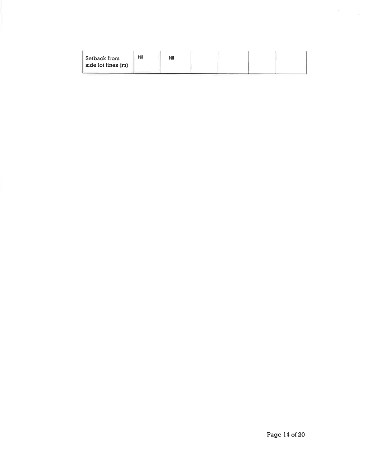| Setback from<br>side lot lines (m) | Nil | Nil |  |  |  |  |
|------------------------------------|-----|-----|--|--|--|--|
|------------------------------------|-----|-----|--|--|--|--|

 $\delta_{\rm{max}}$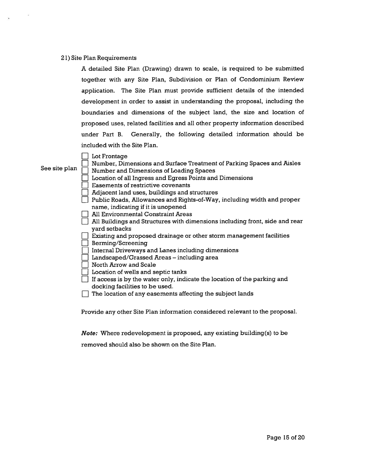#### 2l) Site Plan Requirements

A detailed Site Plan (Drawing) drawn to scale, is required to be submitted together with any Site Plan, Subdivision or Plan of Condominium Review application. The Site Plan must provide sufficient details of the intended development in order to assist in understanding the proposal, including the boundaries and dimensions of the subject land, the size and location of proposed uses, related facilities and all other property information described under Part B. Generally, the following detailed information should be included with the Site Plan.

 $\Box$ Lot Frontage

#### See site plan

- $\begin{tabular}{|c|c|} \hline \quad \quad & \quad \quad & \quad \quad & \quad \quad \\ \hline \quad \quad & \quad \quad & \quad \quad & \quad \quad \\ \hline \quad \quad & \quad \quad & \quad \quad & \quad \quad \\ \hline \quad \quad & \quad \quad & \quad \quad & \quad \quad \\ \hline \quad \quad & \quad \quad & \quad \quad & \quad \quad \\ \hline \quad \quad & \quad \quad & \quad \quad & \quad \quad \\ \hline \quad \quad & \quad \quad & \quad \quad & \quad \quad \\ \hline \end{tabular} \hspace{0.2cm} \begin{tabular}{|c|c|} \hline \quad \quad & \quad \quad & \quad \quad &$ Number and Dimensions of Loading Spaces Location of all Ingress and Egress Points and Dimensions
	- □ Adjacent land uses, buildings and structures
	- □ Adjacent land uses, buildings and structures<br>□ Public Roads, Allowances and Rights-of-Way, including width and proper name, indicating if it is unopened

Number, Dimensions and Surface Treatment of Parking Spaces and Aisles

- name, malealing in its amopened<br>
All Environmental Constraint Areas
- $\Box$  The dimensional constraint to the dimensions including front, side and rear All Buildings and Structures with dimensions including front, side and rear yard setbacks
- $\Box$  Existing and proposed drainage or other storm management facilities Berming/Screening
- Internal Driveways and Lanes including dimensions
- Internal Diveways and Banes mentaing dimensional Landscaped/Grassed Areas including area
- n North Arrow and Scale
- **Notation of wells and septic tanks**
- If access is by the water only, indicate the location of the parking and docking facilities to be used.
- The location of any easements affecting the subject lands

Provide any other Site Plan information considered relevant to the proposal.

Note: Where redevelopment is proposed, any existing building(s) to be

removed should also be shown on the Site Plan.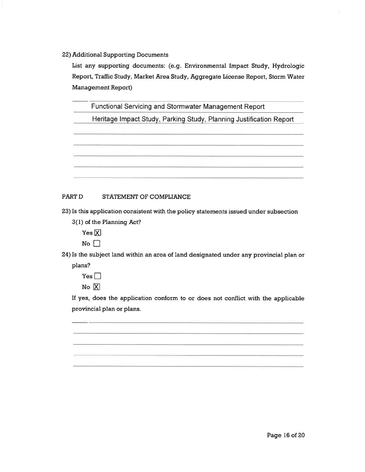22) Additional Supporting Documents

List any supporting documents: (e.9. Environmental Impact Study, Hydrologic Report, Traffic Study, Market Area Study, Aggregate License Report, Storm Water Management Report)

Functional Servicing and Stormwater Management Report

Heritaqe lmpact Studv, Parkinq Study, Planning Justification Report

### PART D STATEMENT OF COMPLIANCE

23) Is this application consistent with the policy statements issued under subsection

3(l) of the Planning Act?

Yes  $\boxtimes$ 

 $No \square$ 

24) Is the subject land within an area of land designated under any provincial plan or

plans?

 $Yes \Box$ 

 $N<sub>o</sub>$   $\overline{X}$ 

If yes, does the application conform to or does not conflict with the applicable provincial plan or plans.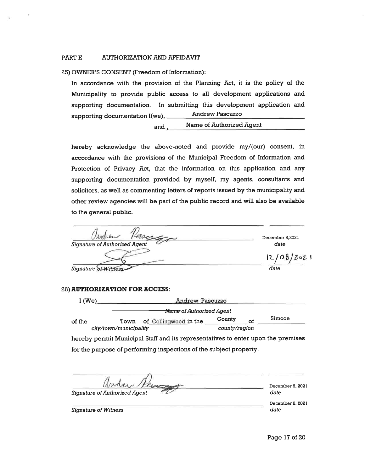#### PART E AUTHORIZATION AND AFFIDAVIT

25) OWNER'S CONSENT (Freedom of Information):

In accordance with the provision of the Planning Act, it is the policy of the Municipality to provide public access to all development applications and supporting documentation. In submitting this development application and supporting documentation l(we), Andrew Pascuzzo

and **Name of Authorized Agent** 

hereby acknowledge the above-noted and provide my/(our) consent, in accordance with the provisions of the Municipal Freedom of Information and Protection of Privacy Act, that the information on this application and any supporting documentation provided by myself, my agents, consultants and solicitors, as well as commenting letters of reports issued by the municipality and other review agencies will be part of the public record and will also be available to the general public.

| elson                                | December 8,2021 |
|--------------------------------------|-----------------|
| <b>Signature of Authorized Agent</b> | date            |
|                                      | 12/08/202       |
| Signature of Witness                 | date            |

#### 26) AUTHORIZATION FOR ACCESS:

| I(We)  |                        | Andrew Pascuzzo                     |               |    |        |  |  |  |  |
|--------|------------------------|-------------------------------------|---------------|----|--------|--|--|--|--|
|        |                        | <del>Name</del> of Authorized Agent |               |    |        |  |  |  |  |
| of the | Town                   | of Collingwood in the               | County        | of | Simcoe |  |  |  |  |
|        | city/town/municipality |                                     | county/region |    |        |  |  |  |  |

hereby permit Municipal Staff and its representatives to enter upon the premises for the purpose of performing inspections of the subject property.

*Andre Recogney* 

December 8, 2021 date

December 8, 202 I

Signature of Witness date date of  $\alpha$  and  $\alpha$  and  $\alpha$  and  $\alpha$  date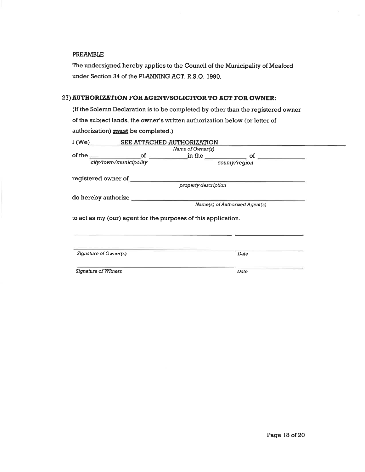#### PREAMBLE

The undersigned hereby applies to the Council of the Municipality of Meaford under Section 34 of the PLANMNC ACT, R.S.O. 1990.

### 27) AUTHORIZATION FOR AGENT/SOLICITOR TO ACT FOR OWNER:

(If the Solemn Declaration is to be completed by other than the registered owner of the subject lands, the owner's written authorization below (or letter of authorization) **must** be completed.)

|                             |                        | I (We) SEE ATTACHED AUTHORIZATION                              |                                                    |  |
|-----------------------------|------------------------|----------------------------------------------------------------|----------------------------------------------------|--|
|                             |                        | Name of Owner(s)                                               |                                                    |  |
|                             |                        |                                                                | of the $of$ $of$ $in$ the $of$ $of$ $of$ $of$ $on$ |  |
|                             | city/town/municipality |                                                                | county/region                                      |  |
|                             |                        |                                                                |                                                    |  |
|                             |                        | property description                                           |                                                    |  |
|                             |                        |                                                                |                                                    |  |
|                             |                        |                                                                | Name(s) of Authorized Agent(s)                     |  |
|                             |                        | to act as my (our) agent for the purposes of this application. |                                                    |  |
| Signature of Owner(s)       |                        |                                                                | Date                                               |  |
| <b>Signature of Witness</b> |                        |                                                                | Date                                               |  |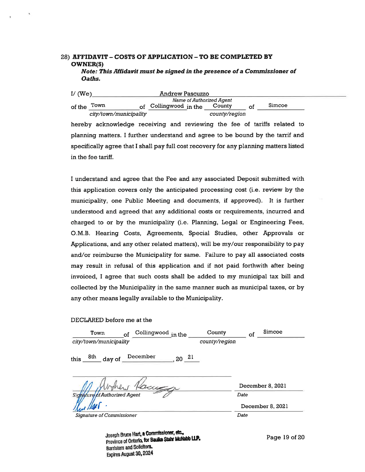#### 28) AFFIDAVIT - COSTS OF APPLICATION - TO BE COMPLETED BY owNER(S) Note: This Alfidavit must be signed in the presence of a Commissioner of Oaths.

| I/ $(We)$ |                        | <b>Andrew Pascuzzo</b>                                                   |               |        |  |
|-----------|------------------------|--------------------------------------------------------------------------|---------------|--------|--|
|           |                        | <b>Name of Authorized Agent</b>                                          |               |        |  |
| of the    | Town                   | of Collingwood in the                                                    | County        | Simcoe |  |
|           | city/town/municipality |                                                                          | county/region |        |  |
|           |                        | hereby acknowledge receiving and reviewing the fee of tariffs related to |               |        |  |

planning matters. I further understand and agree to be bound by the tarrif and specifically agree that I shall pay full cost recovery for any planning matters listed in the fee tariff.

I understand and agree that the Fee and any associated Deposit submitted with this application covers only the anticipated processing cost (i.e. review by the municipality, one Public Meeting and documents, if approved). It is further understood and agreed that any additional costs or requirements, incurred and charged to or by the municipality (i.e. Planning, Legal or Engineering Fees, O.M.B. Hearing Costs, Agreements, Special Studies, other Approvals or Applications, and any other related matters), will be mylour responsibility to pay and/or reimburse the Municipality for same. Failure to pay all associated costs may result in refusal of this application and if not paid forthwith after being invoiced, I agree that such costs shall be added to my municipal tax bill and collected by the Municipality in the same manner such as municipal taxes, or by any other means legally available to the Municipality.

#### DECLARED before me at the

| Collingwood in the<br>Town<br>οf<br>city/town/municipality | Simcoe<br>County<br>οf<br>county/region |
|------------------------------------------------------------|-----------------------------------------|
| December<br>8th<br>this<br>day of<br>20                    | $\mathbf{z}_1$                          |
| Kacusa                                                     | December 8, 2021                        |
| mature of Authorized Agent                                 | Date<br>December 8, 2021                |
| Signature of Commissioner                                  | Date                                    |

Joseph Bruce Hart, a Commissioner, etc.,<br>Province of Ontario, for Baulle Stahr McNabb LLP. Barristers and Solicitors. Expires August 30, 2024

Page  $19$  of  $20$